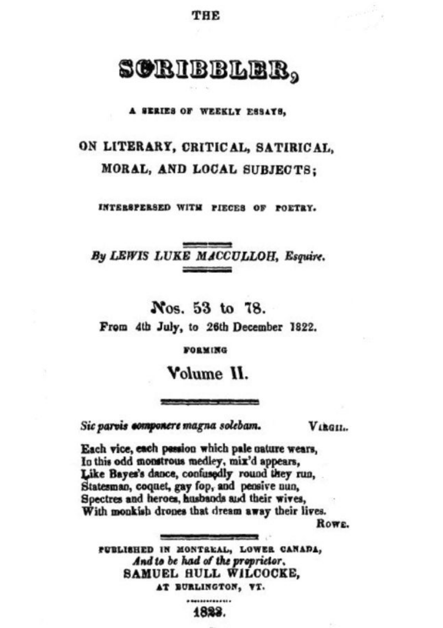THE

# SORIBBLER,

A SERIES OF WEEKLY ESSATS,

## ON LITERARY, CRITICAL, SATIRICAL, MORAL, AND LOCAL SUBJECTS:

INTERSPERSED WITH PIECES OF POETRY.

By LEWIS LUKE MACCULLOH, Esquire.

Nos. 53 to 78. From 4th July, to 26th December 1822.

**FORMING** 

Volume II.

**State companies in contract prod** 

Sic parvis componere magna solebam.

Vikeu.

Each vice, each pession which pale nature wears, In this odd monstrous medley, mix'd appears, Like Bayes's dance, confusedly round they run. Statesman, coquet, gay fop, and pensive nun, Spectres and heroes, husbands and their wives, With monkish drones that dream away their lives.

ROWE.

PUBLISHED IN MONTREAL, LOWER CANADA, And to be had of the proprietor, SAMUEL HULL WILCOCKE, AT BURLINGTON, VT.

1823.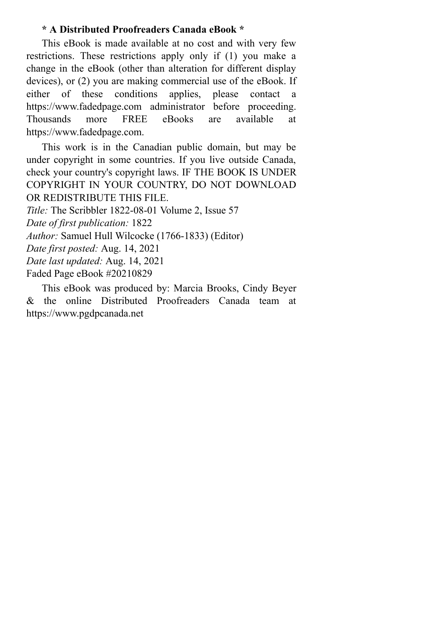## **\* A Distributed Proofreaders Canada eBook \***

This eBook is made available at no cost and with very few restrictions. These restrictions apply only if (1) you make a change in the eBook (other than alteration for different display devices), or (2) you are making commercial use of the eBook. If either of these conditions applies, please contact a https://www.fadedpage.com administrator before proceeding. Thousands more FREE eBooks are available at https://www.fadedpage.com.

This work is in the Canadian public domain, but may be under copyright in some countries. If you live outside Canada, check your country's copyright laws. IF THE BOOK IS UNDER COPYRIGHT IN YOUR COUNTRY, DO NOT DOWNLOAD OR REDISTRIBUTE THIS FILE.

*Title:* The Scribbler 1822-08-01 Volume 2, Issue 57

*Date of first publication:* 1822

*Author:* Samuel Hull Wilcocke (1766-1833) (Editor)

*Date first posted:* Aug. 14, 2021

*Date last updated:* Aug. 14, 2021

Faded Page eBook #20210829

This eBook was produced by: Marcia Brooks, Cindy Beyer & the online Distributed Proofreaders Canada team at https://www.pgdpcanada.net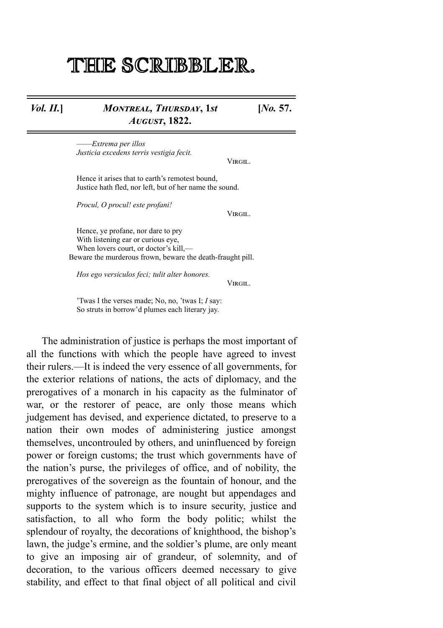## THE SCRIBBLER.

## *Vol. II.*] *MONTREAL, THURSDAY, 1st A***, 1822.**

**[***No.* **57.**

——*Extrema per illos Justicia excedens terris vestigia fecit.*

VIRGIL.

Hence it arises that to earth's remotest bound, Justice hath fled, nor left, but of her name the sound.

*Procul, O procul! este profani!*

VIRGIL.

Hence, ye profane, nor dare to pry With listening ear or curious eye, When lovers court, or doctor's kill,-Beware the murderous frown, beware the death-fraught pill.

*Hos ego versiculos feci; tulit alter honores.*

VIRGIL.

'Twas I the verses made; No, no, 'twas I; *I* say: So struts in borrow'd plumes each literary jay.

The administration of justice is perhaps the most important of all the functions with which the people have agreed to invest their rulers.—It is indeed the very essence of all governments, for the exterior relations of nations, the acts of diplomacy, and the prerogatives of a monarch in his capacity as the fulminator of war, or the restorer of peace, are only those means which judgement has devised, and experience dictated, to preserve to a nation their own modes of administering justice amongst themselves, uncontrouled by others, and uninfluenced by foreign power or foreign customs; the trust which governments have of the nation's purse, the privileges of office, and of nobility, the prerogatives of the sovereign as the fountain of honour, and the mighty influence of patronage, are nought but appendages and supports to the system which is to insure security, justice and satisfaction, to all who form the body politic; whilst the splendour of royalty, the decorations of knighthood, the bishop's lawn, the judge's ermine, and the soldier's plume, are only meant to give an imposing air of grandeur, of solemnity, and of decoration, to the various officers deemed necessary to give stability, and effect to that final object of all political and civil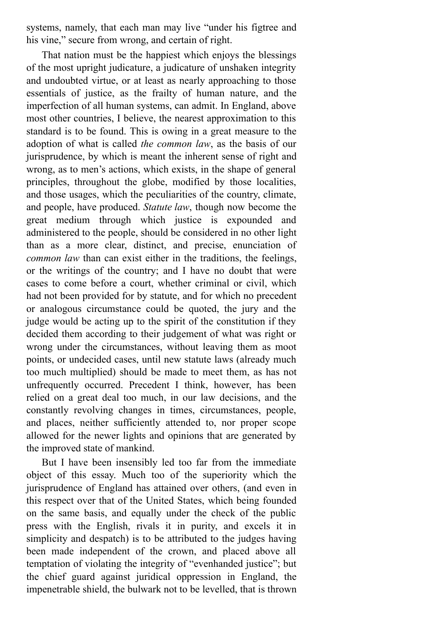systems, namely, that each man may live "under his figtree and his vine," secure from wrong, and certain of right.

That nation must be the happiest which enjoys the blessings of the most upright judicature, a judicature of unshaken integrity and undoubted virtue, or at least as nearly approaching to those essentials of justice, as the frailty of human nature, and the imperfection of all human systems, can admit. In England, above most other countries, I believe, the nearest approximation to this standard is to be found. This is owing in a great measure to the adoption of what is called *the common law*, as the basis of our jurisprudence, by which is meant the inherent sense of right and wrong, as to men's actions, which exists, in the shape of general principles, throughout the globe, modified by those localities, and those usages, which the peculiarities of the country, climate, and people, have produced. *Statute law*, though now become the great medium through which justice is expounded and administered to the people, should be considered in no other light than as a more clear, distinct, and precise, enunciation of *common law* than can exist either in the traditions, the feelings, or the writings of the country; and I have no doubt that were cases to come before a court, whether criminal or civil, which had not been provided for by statute, and for which no precedent or analogous circumstance could be quoted, the jury and the judge would be acting up to the spirit of the constitution if they decided them according to their judgement of what was right or wrong under the circumstances, without leaving them as moot points, or undecided cases, until new statute laws (already much too much multiplied) should be made to meet them, as has not unfrequently occurred. Precedent I think, however, has been relied on a great deal too much, in our law decisions, and the constantly revolving changes in times, circumstances, people, and places, neither sufficiently attended to, nor proper scope allowed for the newer lights and opinions that are generated by the improved state of mankind.

But I have been insensibly led too far from the immediate object of this essay. Much too of the superiority which the jurisprudence of England has attained over others, (and even in this respect over that of the United States, which being founded on the same basis, and equally under the check of the public press with the English, rivals it in purity, and excels it in simplicity and despatch) is to be attributed to the judges having been made independent of the crown, and placed above all temptation of violating the integrity of "evenhanded justice"; but the chief guard against juridical oppression in England, the impenetrable shield, the bulwark not to be levelled, that is thrown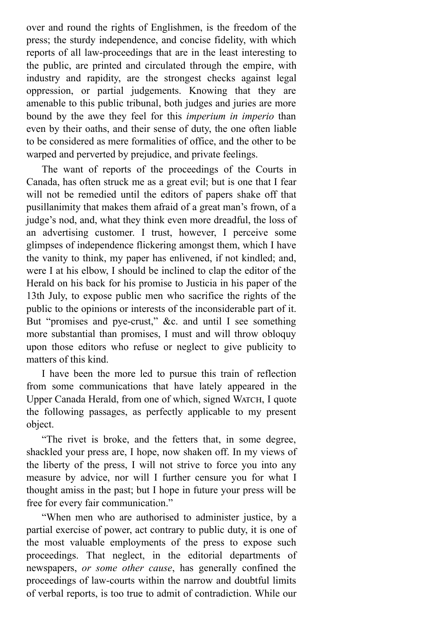over and round the rights of Englishmen, is the freedom of the press; the sturdy independence, and concise fidelity, with which reports of all law-proceedings that are in the least interesting to the public, are printed and circulated through the empire, with industry and rapidity, are the strongest checks against legal oppression, or partial judgements. Knowing that they are amenable to this public tribunal, both judges and juries are more bound by the awe they feel for this *imperium in imperio* than even by their oaths, and their sense of duty, the one often liable to be considered as mere formalities of office, and the other to be warped and perverted by prejudice, and private feelings.

The want of reports of the proceedings of the Courts in Canada, has often struck me as a great evil; but is one that I fear will not be remedied until the editors of papers shake off that pusillanimity that makes them afraid of a great man's frown, of a judge's nod, and, what they think even more dreadful, the loss of an advertising customer. I trust, however, I perceive some glimpses of independence flickering amongst them, which I have the vanity to think, my paper has enlivened, if not kindled; and, were I at his elbow, I should be inclined to clap the editor of the Herald on his back for his promise to Justicia in his paper of the 13th July, to expose public men who sacrifice the rights of the public to the opinions or interests of the inconsiderable part of it. But "promises and pye-crust," &c. and until I see something more substantial than promises, I must and will throw obloquy upon those editors who refuse or neglect to give publicity to matters of this kind.

I have been the more led to pursue this train of reflection from some communications that have lately appeared in the Upper Canada Herald, from one of which, signed WATCH, I quote the following passages, as perfectly applicable to my present object.

"The rivet is broke, and the fetters that, in some degree, shackled your press are, I hope, now shaken off. In my views of the liberty of the press, I will not strive to force you into any measure by advice, nor will I further censure you for what I thought amiss in the past; but I hope in future your press will be free for every fair communication."

"When men who are authorised to administer justice, by a partial exercise of power, act contrary to public duty, it is one of the most valuable employments of the press to expose such proceedings. That neglect, in the editorial departments of newspapers, *or some other cause*, has generally confined the proceedings of law-courts within the narrow and doubtful limits of verbal reports, is too true to admit of contradiction. While our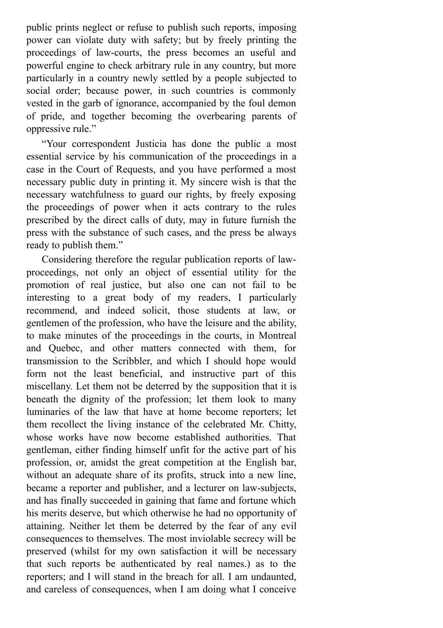public prints neglect or refuse to publish such reports, imposing power can violate duty with safety; but by freely printing the proceedings of law-courts, the press becomes an useful and powerful engine to check arbitrary rule in any country, but more particularly in a country newly settled by a people subjected to social order; because power, in such countries is commonly vested in the garb of ignorance, accompanied by the foul demon of pride, and together becoming the overbearing parents of oppressive rule."

"Your correspondent Justicia has done the public a most essential service by his communication of the proceedings in a case in the Court of Requests, and you have performed a most necessary public duty in printing it. My sincere wish is that the necessary watchfulness to guard our rights, by freely exposing the proceedings of power when it acts contrary to the rules prescribed by the direct calls of duty, may in future furnish the press with the substance of such cases, and the press be always ready to publish them."

Considering therefore the regular publication reports of lawproceedings, not only an object of essential utility for the promotion of real justice, but also one can not fail to be interesting to a great body of my readers, I particularly recommend, and indeed solicit, those students at law, or gentlemen of the profession, who have the leisure and the ability, to make minutes of the proceedings in the courts, in Montreal and Quebec, and other matters connected with them, for transmission to the Scribbler, and which I should hope would form not the least beneficial, and instructive part of this miscellany. Let them not be deterred by the supposition that it is beneath the dignity of the profession; let them look to many luminaries of the law that have at home become reporters; let them recollect the living instance of the celebrated Mr. Chitty, whose works have now become established authorities. That gentleman, either finding himself unfit for the active part of his profession, or, amidst the great competition at the English bar, without an adequate share of its profits, struck into a new line, became a reporter and publisher, and a lecturer on law-subjects, and has finally succeeded in gaining that fame and fortune which his merits deserve, but which otherwise he had no opportunity of attaining. Neither let them be deterred by the fear of any evil consequences to themselves. The most inviolable secrecy will be preserved (whilst for my own satisfaction it will be necessary that such reports be authenticated by real names.) as to the reporters; and I will stand in the breach for all. I am undaunted, and careless of consequences, when I am doing what I conceive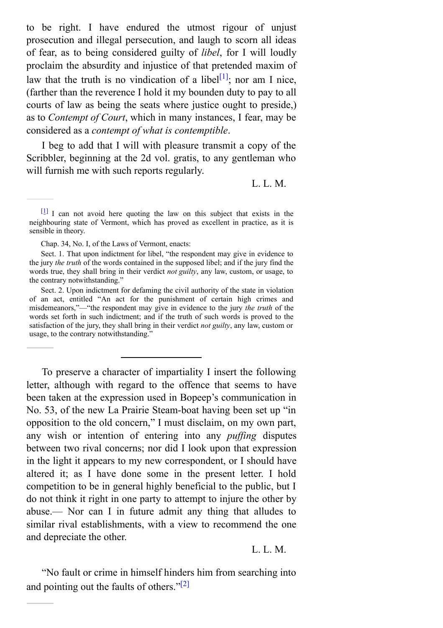to be right. I have endured the utmost rigour of unjust prosecution and illegal persecution, and laugh to scorn all ideas of fear, as to being considered guilty of *libel*, for I will loudly proclaim the absurdity and injustice of that pretended maxim of law that the truth is no vindication of a libel<sup>[\[1\]](#page-6-0)</sup>; nor am I nice, (farther than the reverence I hold it my bounden duty to pay to all courts of law as being the seats where justice ought to preside,) as to *Contempt of Court*, which in many instances, I fear, may be considered as a *contempt of what is contemptible*.

I beg to add that I will with pleasure transmit a copy of the Scribbler, beginning at the 2d vol. gratis, to any gentleman who will furnish me with such reports regularly.

<span id="page-6-1"></span>L. L. M.

Chap. 34, No. I, of the Laws of Vermont, enacts:

Sect. 1. That upon indictment for libel, "the respondent may give in evidence to the jury *the truth* of the words contained in the supposed libel; and if the jury find the words true, they shall bring in their verdict *not guilty*, any law, custom, or usage, to the contrary notwithstanding."

Sect. 2. Upon indictment for defaming the civil authority of the state in violation of an act, entitled "An act for the punishment of certain high crimes and misdemeanors,"—"the respondent may give in evidence to the jury *the truth* of the words set forth in such indictment; and if the truth of such words is proved to the satisfaction of the jury, they shall bring in their verdict *not guilty*, any law, custom or usage, to the contrary notwithstanding."

To preserve a character of impartiality I insert the following letter, although with regard to the offence that seems to have been taken at the expression used in Bopeep's communication in No. 53, of the new La Prairie Steam-boat having been set up "in opposition to the old concern," I must disclaim, on my own part, any wish or intention of entering into any *puffing* disputes between two rival concerns; nor did I look upon that expression in the light it appears to my new correspondent, or I should have altered it; as I have done some in the present letter. I hold competition to be in general highly beneficial to the public, but I do not think it right in one party to attempt to injure the other by abuse.— Nor can I in future admit any thing that alludes to similar rival establishments, with a view to recommend the one and depreciate the other.

### <span id="page-6-2"></span>L. L. M.

"No fault or crime in himself hinders him from searching into and pointing out the faults of others." $[2]$ 

<span id="page-6-0"></span> $\left[\frac{1}{2}\right]$  I can not avoid here quoting the law on this subject that exists in the neighbouring state of Vermont, which has proved as excellent in practice, as it is sensible in theory.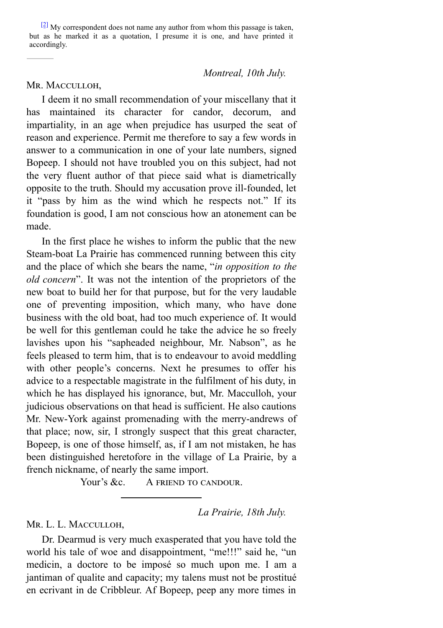<span id="page-7-0"></span> $\frac{[2]}{[2]}$  $\frac{[2]}{[2]}$  $\frac{[2]}{[2]}$  My correspondent does not name any author from whom this passage is taken, but as he marked it as a quotation, I presume it is one, and have printed it accordingly.

*Montreal, 10th July.*

## MR. MACCULLOH.

I deem it no small recommendation of your miscellany that it has maintained its character for candor, decorum, and impartiality, in an age when prejudice has usurped the seat of reason and experience. Permit me therefore to say a few words in answer to a communication in one of your late numbers, signed Bopeep. I should not have troubled you on this subject, had not the very fluent author of that piece said what is diametrically opposite to the truth. Should my accusation prove ill-founded, let it "pass by him as the wind which he respects not." If its foundation is good, I am not conscious how an atonement can be made.

In the first place he wishes to inform the public that the new Steam-boat La Prairie has commenced running between this city and the place of which she bears the name, "*in opposition to the old concern*". It was not the intention of the proprietors of the new boat to build her for that purpose, but for the very laudable one of preventing imposition, which many, who have done business with the old boat, had too much experience of. It would be well for this gentleman could he take the advice he so freely lavishes upon his "sapheaded neighbour, Mr. Nabson", as he feels pleased to term him, that is to endeavour to avoid meddling with other people's concerns. Next he presumes to offer his advice to a respectable magistrate in the fulfilment of his duty, in which he has displayed his ignorance, but, Mr. Macculloh, your judicious observations on that head is sufficient. He also cautions Mr. New-York against promenading with the merry-andrews of that place; now, sir, I strongly suspect that this great character, Bopeep, is one of those himself, as, if I am not mistaken, he has been distinguished heretofore in the village of La Prairie, by a french nickname, of nearly the same import.

Your's &c. A FRIEND TO CANDOUR.

## *La Prairie, 18th July.*

Mr. L. L. Macculloh,

Dr. Dearmud is very much exasperated that you have told the world his tale of woe and disappointment, "me!!!" said he, "un medicin, a doctore to be imposé so much upon me. I am a jantiman of qualite and capacity; my talens must not be prostitué en ecrivant in de Cribbleur. Af Bopeep, peep any more times in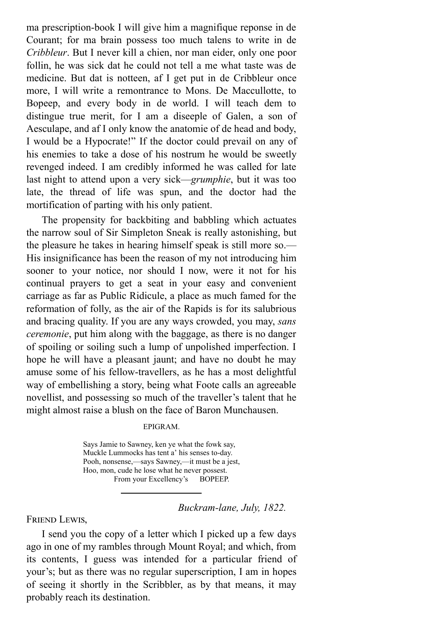ma prescription-book I will give him a magnifique reponse in de Courant; for ma brain possess too much talens to write in de *Cribbleur*. But I never kill a chien, nor man eider, only one poor follin, he was sick dat he could not tell a me what taste was de medicine. But dat is notteen, af I get put in de Cribbleur once more, I will write a remontrance to Mons. De Maccullotte, to Bopeep, and every body in de world. I will teach dem to distingue true merit, for I am a diseeple of Galen, a son of Aesculape, and af I only know the anatomie of de head and body, I would be a Hypocrate!" If the doctor could prevail on any of his enemies to take a dose of his nostrum he would be sweetly revenged indeed. I am credibly informed he was called for late last night to attend upon a very sick—*grumphie*, but it was too late, the thread of life was spun, and the doctor had the mortification of parting with his only patient.

The propensity for backbiting and babbling which actuates the narrow soul of Sir Simpleton Sneak is really astonishing, but the pleasure he takes in hearing himself speak is still more so.— His insignificance has been the reason of my not introducing him sooner to your notice, nor should I now, were it not for his continual prayers to get a seat in your easy and convenient carriage as far as Public Ridicule, a place as much famed for the reformation of folly, as the air of the Rapids is for its salubrious and bracing quality. If you are any ways crowded, you may, *sans ceremonie*, put him along with the baggage, as there is no danger of spoiling or soiling such a lump of unpolished imperfection. I hope he will have a pleasant jaunt; and have no doubt he may amuse some of his fellow-travellers, as he has a most delightful way of embellishing a story, being what Foote calls an agreeable novellist, and possessing so much of the traveller's talent that he might almost raise a blush on the face of Baron Munchausen.

### EPIGRAM.

Says Jamie to Sawney, ken ye what the fowk say, Muckle Lummocks has tent a' his senses to-day. Pooh, nonsense,—says Sawney,—it must be a jest, Hoo, mon, cude he lose what he never possest. From your Excellency's BOPEEP.

## *Buckram-lane, July, 1822.*

FRIEND LEWIS,

I send you the copy of a letter which I picked up a few days ago in one of my rambles through Mount Royal; and which, from its contents, I guess was intended for a particular friend of your's; but as there was no regular superscription, I am in hopes of seeing it shortly in the Scribbler, as by that means, it may probably reach its destination.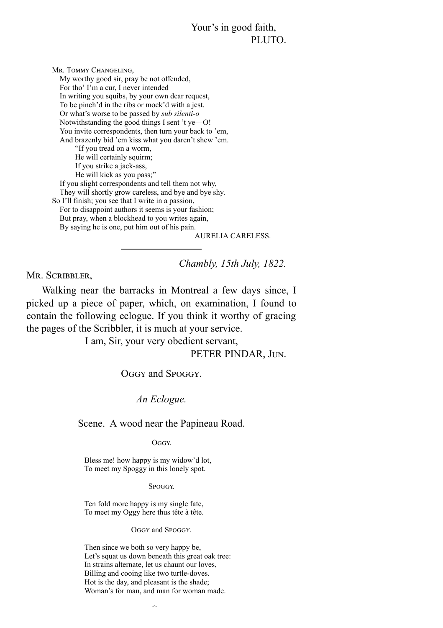## Your's in good faith, PLUTO.

MR. TOMMY CHANGELING, My worthy good sir, pray be not offended, For tho' I'm a cur, I never intended In writing you squibs, by your own dear request, To be pinch'd in the ribs or mock'd with a jest. Or what's worse to be passed by *sub silenti-o* Notwithstanding the good things I sent 't ye—O! You invite correspondents, then turn your back to 'em, And brazenly bid 'em kiss what you daren't shew 'em. "If you tread on a worm, He will certainly squirm; If you strike a jack-ass, He will kick as you pass;" If you slight correspondents and tell them not why, They will shortly grow careless, and bye and bye shy. So I'll finish; you see that I write in a passion, For to disappoint authors it seems is your fashion; But pray, when a blockhead to you writes again, By saying he is one, put him out of his pain.

AURELIA CARELESS.

*Chambly, 15th July, 1822.*

MR. SCRIBBLER,

Walking near the barracks in Montreal a few days since, I picked up a piece of paper, which, on examination, I found to contain the following eclogue. If you think it worthy of gracing the pages of the Scribbler, it is much at your service.

I am, Sir, your very obedient servant,

PETER PINDAR, JUN.

OGGY and SPOGGY.

*An Eclogue.*

Scene. A wood near the Papineau Road.

OGGY.

Bless me! how happy is my widow'd lot, To meet my Spoggy in this lonely spot.

**SPOGGY** 

Ten fold more happy is my single fate, To meet my Oggy here thus tête à tête.

OGGY and SPOGGY.

Then since we both so very happy be, Let's squat us down beneath this great oak tree: In strains alternate, let us chaunt our loves, Billing and cooing like two turtle-doves. Hot is the day, and pleasant is the shade; Woman's for man, and man for woman made.

 $\sim$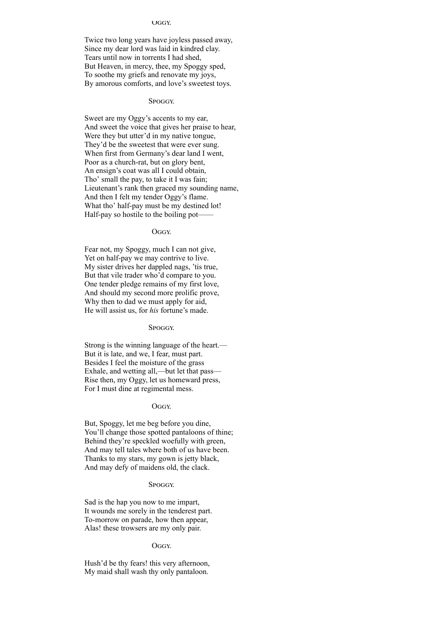#### **UGGY.**

Twice two long years have joyless passed away, Since my dear lord was laid in kindred clay. Tears until now in torrents I had shed, But Heaven, in mercy, thee, my Spoggy sped, To soothe my griefs and renovate my joys, By amorous comforts, and love's sweetest toys.

#### SPOGGY.

Sweet are my Oggy's accents to my ear, And sweet the voice that gives her praise to hear, Were they but utter'd in my native tongue, They'd be the sweetest that were ever sung. When first from Germany's dear land I went, Poor as a church-rat, but on glory bent, An ensign's coat was all I could obtain, Tho' small the pay, to take it I was fain; Lieutenant's rank then graced my sounding name, And then I felt my tender Oggy's flame. What tho' half-pay must be my destined lot! Half-pay so hostile to the boiling pot——

#### OGGY.

Fear not, my Spoggy, much I can not give, Yet on half-pay we may contrive to live. My sister drives her dappled nags, 'tis true, But that vile trader who'd compare to you. One tender pledge remains of my first love, And should my second more prolific prove, Why then to dad we must apply for aid, He will assist us, for *his* fortune's made.

#### Spoggy

Strong is the winning language of the heart.— But it is late, and we, I fear, must part. Besides I feel the moisture of the grass Exhale, and wetting all,—but let that pass— Rise then, my Oggy, let us homeward press, For I must dine at regimental mess.

#### **OGGY**

But, Spoggy, let me beg before you dine, You'll change those spotted pantaloons of thine; Behind they're speckled woefully with green, And may tell tales where both of us have been. Thanks to my stars, my gown is jetty black, And may defy of maidens old, the clack.

#### SPOGGY.

Sad is the hap you now to me impart, It wounds me sorely in the tenderest part. To-morrow on parade, how then appear, Alas! these trowsers are my only pair.

#### OGGY.

Hush'd be thy fears! this very afternoon, My maid shall wash thy only pantaloon.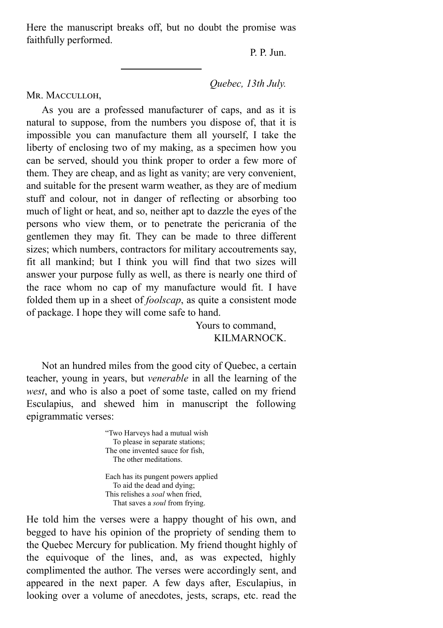Here the manuscript breaks off, but no doubt the promise was faithfully performed.

P. P. Jun.

*Quebec, 13th July.*

MR. MACCULLOH,

As you are a professed manufacturer of caps, and as it is natural to suppose, from the numbers you dispose of, that it is impossible you can manufacture them all yourself, I take the liberty of enclosing two of my making, as a specimen how you can be served, should you think proper to order a few more of them. They are cheap, and as light as vanity; are very convenient, and suitable for the present warm weather, as they are of medium stuff and colour, not in danger of reflecting or absorbing too much of light or heat, and so, neither apt to dazzle the eyes of the persons who view them, or to penetrate the pericrania of the gentlemen they may fit. They can be made to three different sizes; which numbers, contractors for military accoutrements say, fit all mankind; but I think you will find that two sizes will answer your purpose fully as well, as there is nearly one third of the race whom no cap of my manufacture would fit. I have folded them up in a sheet of *foolscap*, as quite a consistent mode of package. I hope they will come safe to hand.

> Yours to command, KILMARNOCK.

Not an hundred miles from the good city of Quebec, a certain teacher, young in years, but *venerable* in all the learning of the *west*, and who is also a poet of some taste, called on my friend Esculapius, and shewed him in manuscript the following epigrammatic verses:

> "Two Harveys had a mutual wish To please in separate stations; The one invented sauce for fish, The other meditations.

Each has its pungent powers applied To aid the dead and dying; This relishes a *soal* when fried, That saves a *soul* from frying.

He told him the verses were a happy thought of his own, and begged to have his opinion of the propriety of sending them to the Quebec Mercury for publication. My friend thought highly of the equivoque of the lines, and, as was expected, highly complimented the author. The verses were accordingly sent, and appeared in the next paper. A few days after, Esculapius, in looking over a volume of anecdotes, jests, scraps, etc. read the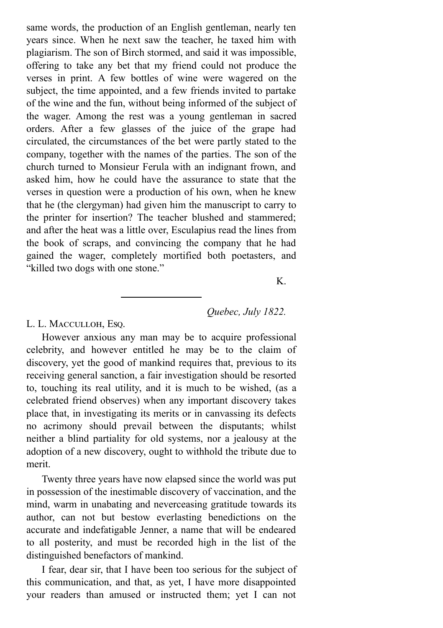same words, the production of an English gentleman, nearly ten years since. When he next saw the teacher, he taxed him with plagiarism. The son of Birch stormed, and said it was impossible, offering to take any bet that my friend could not produce the verses in print. A few bottles of wine were wagered on the subject, the time appointed, and a few friends invited to partake of the wine and the fun, without being informed of the subject of the wager. Among the rest was a young gentleman in sacred orders. After a few glasses of the juice of the grape had circulated, the circumstances of the bet were partly stated to the company, together with the names of the parties. The son of the church turned to Monsieur Ferula with an indignant frown, and asked him, how he could have the assurance to state that the verses in question were a production of his own, when he knew that he (the clergyman) had given him the manuscript to carry to the printer for insertion? The teacher blushed and stammered; and after the heat was a little over, Esculapius read the lines from the book of scraps, and convincing the company that he had gained the wager, completely mortified both poetasters, and "killed two dogs with one stone."

K.

## *Quebec, July 1822.*

L. L. MACCULLOH, Esq.

However anxious any man may be to acquire professional celebrity, and however entitled he may be to the claim of discovery, yet the good of mankind requires that, previous to its receiving general sanction, a fair investigation should be resorted to, touching its real utility, and it is much to be wished, (as a celebrated friend observes) when any important discovery takes place that, in investigating its merits or in canvassing its defects no acrimony should prevail between the disputants; whilst neither a blind partiality for old systems, nor a jealousy at the adoption of a new discovery, ought to withhold the tribute due to merit.

Twenty three years have now elapsed since the world was put in possession of the inestimable discovery of vaccination, and the mind, warm in unabating and neverceasing gratitude towards its author, can not but bestow everlasting benedictions on the accurate and indefatigable Jenner, a name that will be endeared to all posterity, and must be recorded high in the list of the distinguished benefactors of mankind.

I fear, dear sir, that I have been too serious for the subject of this communication, and that, as yet, I have more disappointed your readers than amused or instructed them; yet I can not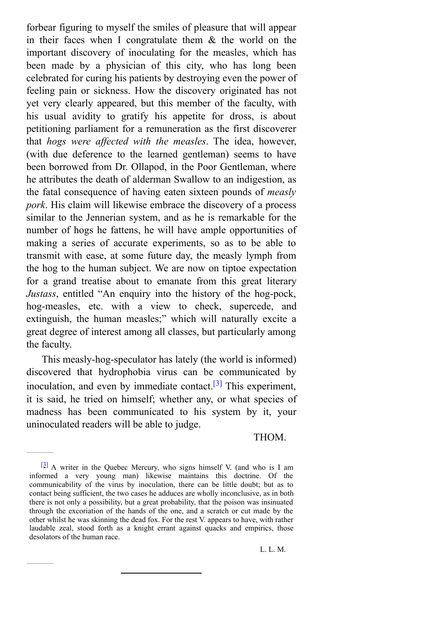forbear figuring to myself the smiles of pleasure that will appear in their faces when I congratulate them & the world on the important discovery of inoculating for the measles, which has been made by a physician of this city, who has long been celebrated for curing his patients by destroying even the power of feeling pain or sickness. How the discovery originated has not yet very clearly appeared, but this member of the faculty, with his usual avidity to gratify his appetite for dross, is about petitioning parliament for a remuneration as the first discoverer that *hogs were af ected with the measles*. The idea, however, (with due deference to the learned gentleman) seems to have been borrowed from Dr. Ollapod, in the Poor Gentleman, where he attributes the death of alderman Swallow to an indigestion, as the fatal consequence of having eaten sixteen pounds of *measly pork*. His claim will likewise embrace the discovery of a process similar to the Jennerian system, and as he is remarkable for the number of hogs he fattens, he will have ample opportunities of making a series of accurate experiments, so as to be able to transmit with ease, at some future day, the measly lymph from the hog to the human subject. We are now on tiptoe expectation for a grand treatise about to emanate from this great literary *Justass*, entitled "An enquiry into the history of the hog-pock, hog-measles, etc. with a view to check, supercede, and extinguish, the human measles;" which will naturally excite a great degree of interest among all classes, but particularly among the faculty.

This measly-hog-speculator has lately (the world is informed) discovered that hydrophobia virus can be communicated by inoculation, and even by immediate contact.<sup>[\[3\]](#page-13-0)</sup> This experiment, it is said, he tried on himself; whether any, or what species of madness has been communicated to his system by it, your uninoculated readers will be able to judge.

<span id="page-13-1"></span>THOM.

<span id="page-13-0"></span> $\frac{[3]}{2}$  $\frac{[3]}{2}$  $\frac{[3]}{2}$  A writer in the Quebec Mercury, who signs himself V. (and who is I am informed a very young man) likewise maintains this doctrine. Of the communicability of the virus by inoculation, there can be little doubt; but as to contact being sufficient, the two cases he adduces are wholly inconclusive, as in both there is not only a possibility, but a great probability, that the poison was insinuated through the excoriation of the hands of the one, and a scratch or cut made by the other whilst he was skinning the dead fox. For the rest V. appears to have, with rather laudable zeal, stood forth as a knight errant against quacks and empirics, those desolators of the human race.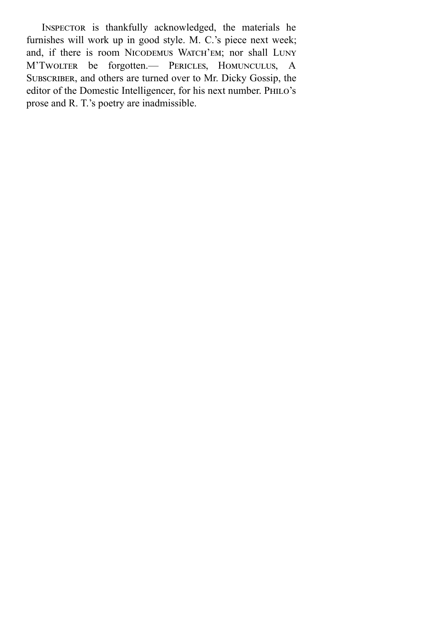INSPECTOR is thankfully acknowledged, the materials he furnishes will work up in good style. M. C.'s piece next week; and, if there is room NICODEMUS WATCH'EM; nor shall LUNY M'Twolter be forgotten.— PERICLES, HOMUNCULUS, A SUBSCRIBER, and others are turned over to Mr. Dicky Gossip, the editor of the Domestic Intelligencer, for his next number. PHILO's prose and R. T.'s poetry are inadmissible.